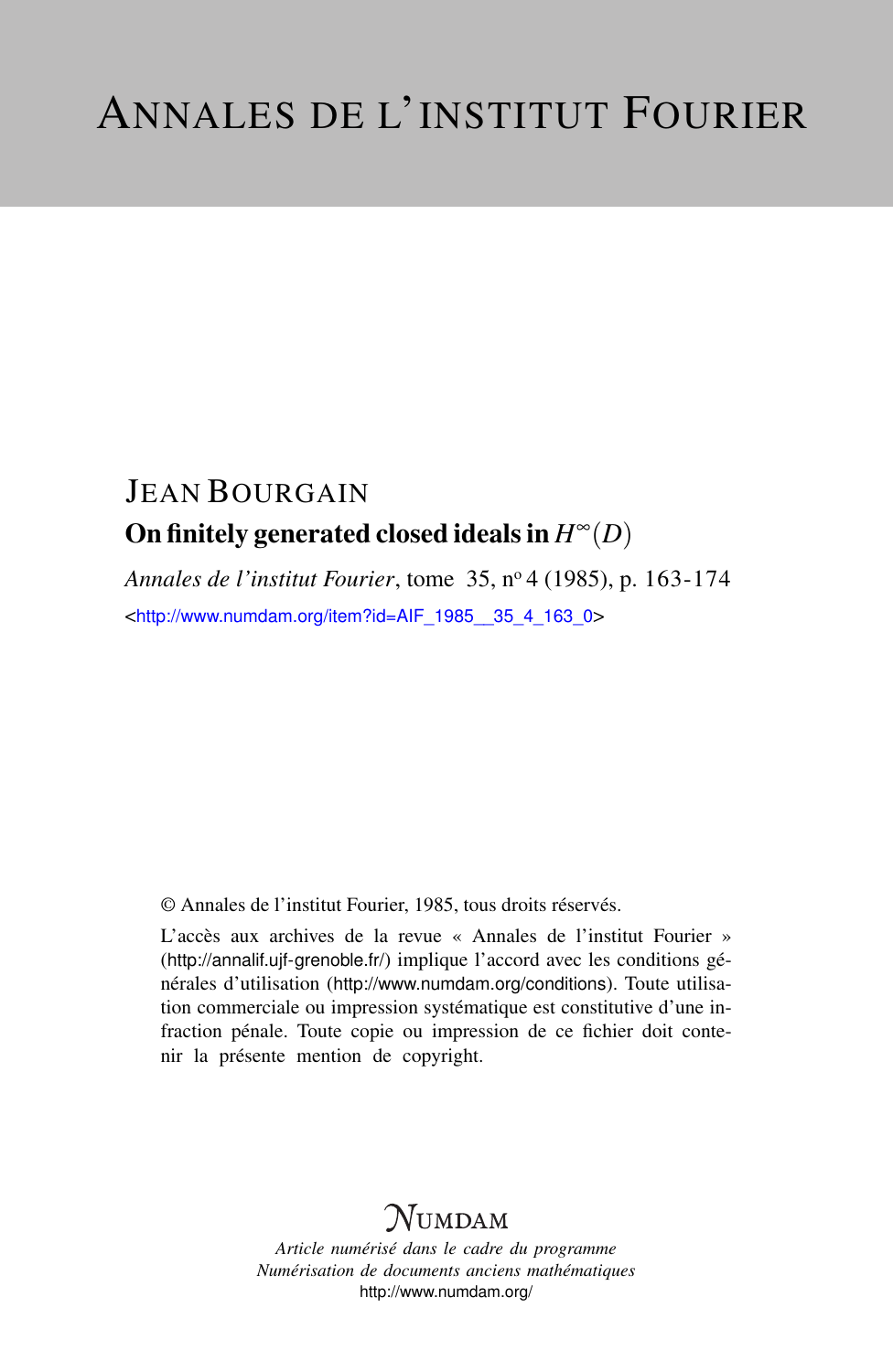# JEAN BOURGAIN On finitely generated closed ideals in  $H^{\infty}(D)$

*Annales de l'institut Fourier*, tome 35, n<sup>o</sup> 4 (1985), p. 163-174 <[http://www.numdam.org/item?id=AIF\\_1985\\_\\_35\\_4\\_163\\_0](http://www.numdam.org/item?id=AIF_1985__35_4_163_0)>

© Annales de l'institut Fourier, 1985, tous droits réservés.

L'accès aux archives de la revue « Annales de l'institut Fourier » (<http://annalif.ujf-grenoble.fr/>) implique l'accord avec les conditions générales d'utilisation (<http://www.numdam.org/conditions>). Toute utilisation commerciale ou impression systématique est constitutive d'une infraction pénale. Toute copie ou impression de ce fichier doit contenir la présente mention de copyright.

# NUMDAM

*Article numérisé dans le cadre du programme Numérisation de documents anciens mathématiques* <http://www.numdam.org/>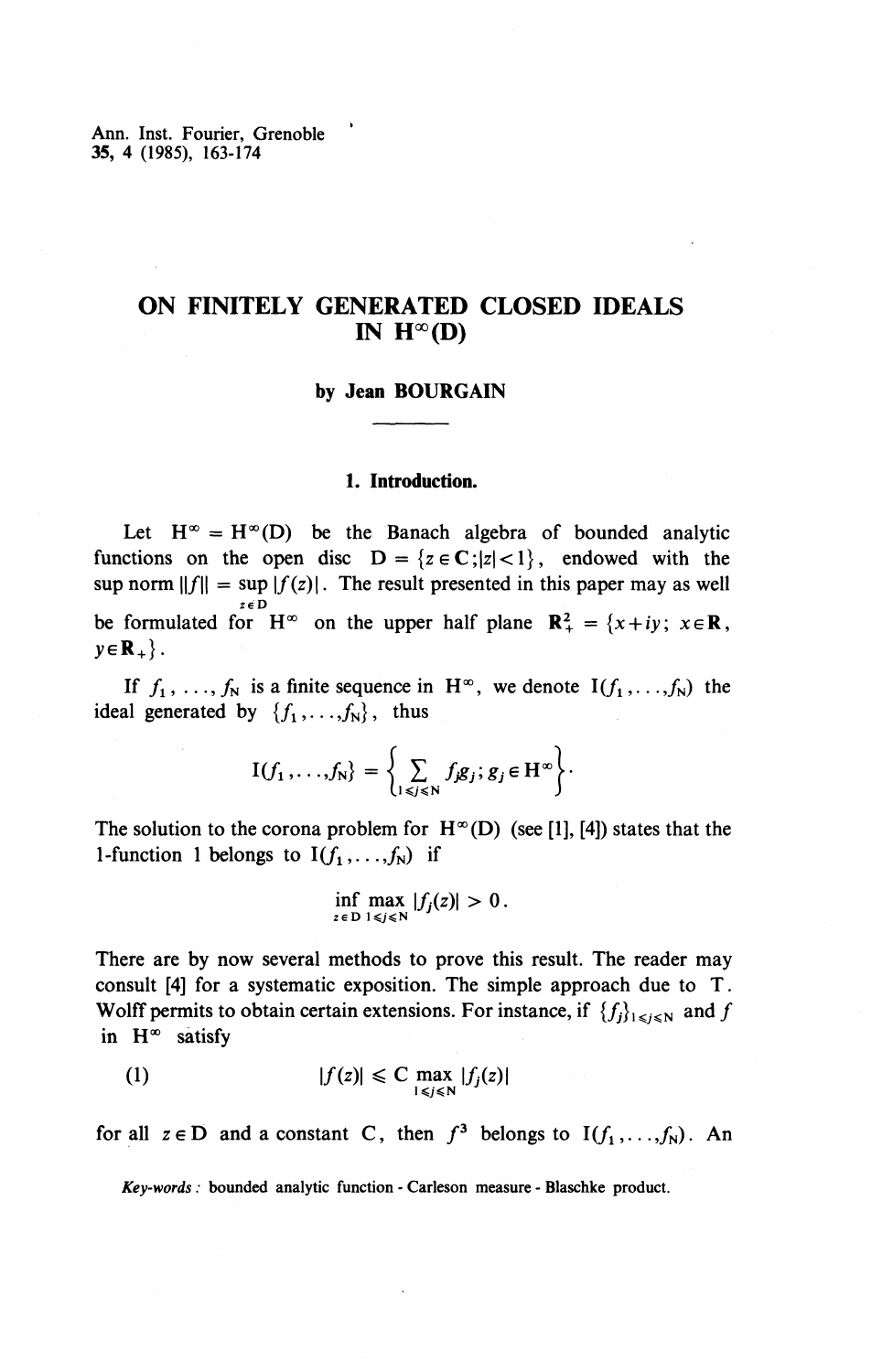Ann. Inst. Fourier, Grenoble **35,** 4 (1985), 163-174

## **ON FINITELY GENERATED CLOSED IDEALS IN H**<sup> $\infty$ </sup>(**D**)

#### **by Jean BOURGAIN**

#### **1. Introduction.**

Let  $H^{\infty} = H^{\infty}(D)$  be the Banach algebra of bounded analytic functions on the open disc  $D = \{z \in \mathbb{C}; |z| < 1\}$ , endowed with the sup norm  $||f|| = \sup |f(z)|$ . The result presented in this paper may as well *zeD* be formulated for  $H^{\infty}$  on the upper half plane  $\mathbb{R}^2_+ = \{x+iy; x \in \mathbb{R},$  $y \in \mathbf{R}_{+}$ .

If  $f_1, \ldots, f_N$  is a finite sequence in  $H^{\infty}$ , we denote  $I(f_1, \ldots, f_N)$  the ideal generated by  $\{f_1, \ldots, f_N\}$ , thus

$$
I(f_1,\ldots,f_N)=\left\{\sum_{1\leqslant j\leqslant N}f_jg_j; g_j\in H^\infty\right\}.
$$

The solution to the corona problem for  $H^{\infty}(D)$  (see [1], [4]) states that the 1-function 1 belongs to  $I(f_1,...,f_N)$  if

$$
\inf_{z\in D}\max_{1\leq j\leq N}|f_j(z)|>0.
$$

There are by now several methods to prove this result. The reader may consult [4] for a systematic exposition. The simple approach due to T. Wolff permits to obtain certain extensions. For instance, if  $\{f_j\}_{1\leq j\leq N}$  and f in  $H^{\infty}$  satisfy

(1) 
$$
|f(z)| \leq C \max_{1 \leq j \leq N} |f_j(z)|
$$

for all  $z \in D$  and a constant C, then  $f^3$  belongs to  $I(f_1, \ldots, f_N)$ . An

*Key-words :* bounded analytic function - Carieson measure - Blaschke product.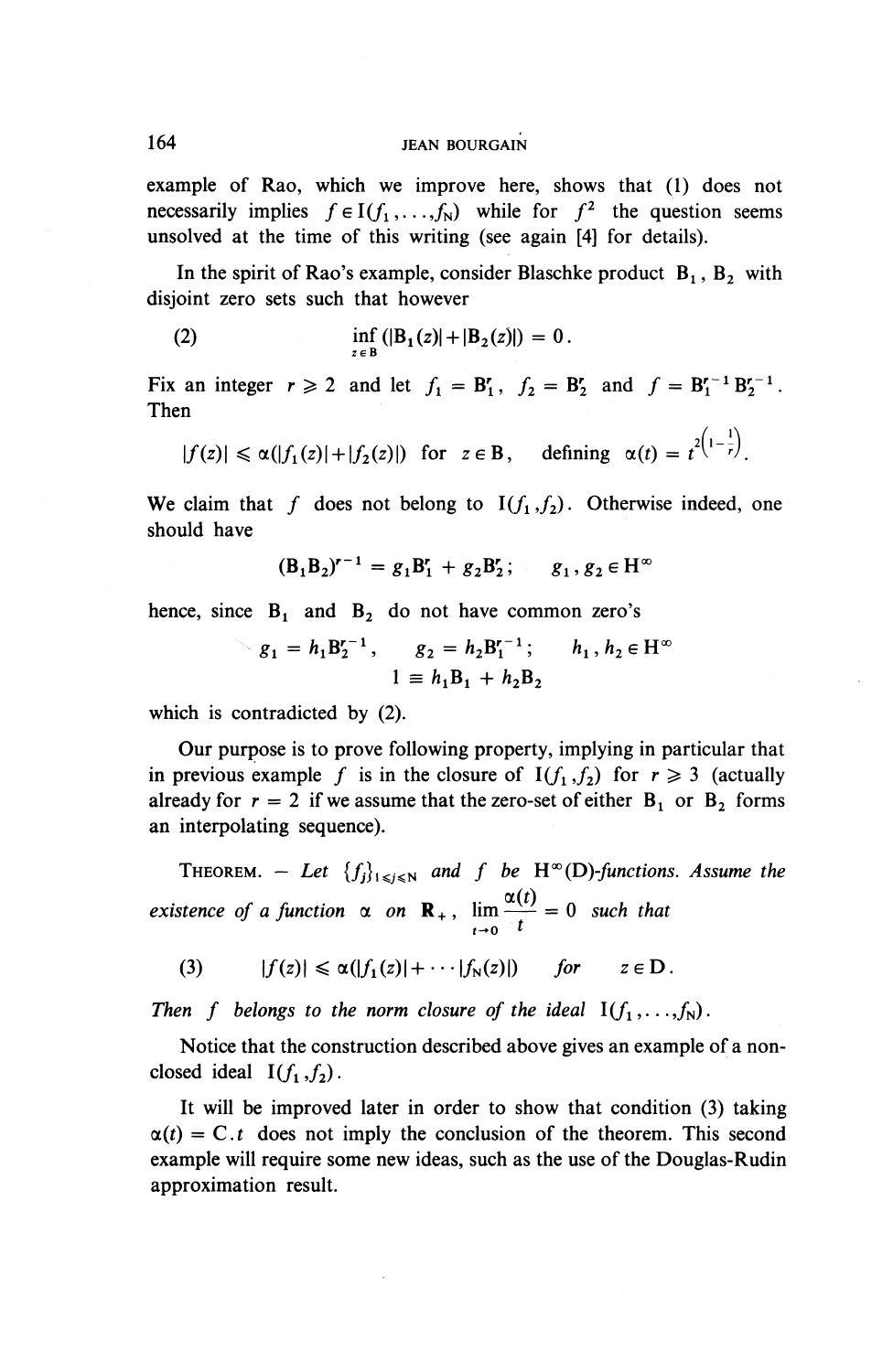example of Rao, which we improve here, shows that (1) does not necessarily implies  $f \in I(f_1,...,f_N)$  while for  $f^2$  the question seems unsolved at the time of this writing (see again [4] for details).

In the spirit of Rao's example, consider Blaschke product B<sub>1</sub>, B<sub>2</sub> with disjoint zero sets such that however

(2) 
$$
\inf_{z \in B} (|B_1(z)| + |B_2(z)|) = 0.
$$

Fix an integer  $r \ge 2$  and let  $f_1 = B'_1$ ,  $f_2 = B'_2$  and  $f = B'^{-1}_1 B'^{-1}_2$ . Then

$$
|f(z)| \leq \alpha(|f_1(z)| + |f_2(z)|) \text{ for } z \in \mathbf{B}, \quad \text{defining } \alpha(t) = t^{2\left(1 - \frac{1}{r}\right)}.
$$

We claim that f does not belong to  $I(f_1, f_2)$ . Otherwise indeed, one should have

$$
(B_1B_2)^{r-1} = g_1B'_1 + g_2B'_2
$$
;  $g_1, g_2 \in H^{\infty}$ 

hence, since  $B_1$  and  $B_2$  do not have common zero's

$$
g_1 = h_1 B_2^{r-1}
$$
,  $g_2 = h_2 B_1^{r-1}$ ;  $h_1, h_2 \in H^{\infty}$   
 $1 \equiv h_1 B_1 + h_2 B_2$ 

which is contradicted by (2).

**Our** purpose is to prove following property, implying in particular that in previous example f is in the closure of  $I(f_1, f_2)$  for  $r \ge 3$  (actually already for  $r = 2$  if we assume that the zero-set of either  $B_1$  or  $B_2$  forms an interpolating sequence).

THEOREM. – Let  $\{f_j\}_{1\leqslant j\leqslant N}$  and f be  $H^\infty(D)$ -functions. Assume the  $\alpha(t)$ *existence of a function*  $\alpha$  *on* **R**<sub>+</sub>,  $\lim_{t\to 0} \frac{\alpha(t)}{t} = 0$  *such that* 

(3) 
$$
|f(z)| \leq \alpha(|f_1(z)| + \cdots |f_N(z)|)
$$
 for  $z \in D$ .

*Then f belongs to the norm closure of the ideal*  $I(f_1, \ldots, f_N)$ .

Notice that the construction described above gives an example of a nonclosed ideal  $I(f_1, f_2)$ .

It will be improved later in order to show that condition (3) taking  $\alpha(t) = C \cdot t$  does not imply the conclusion of the theorem. This second example will require some new ideas, such as the use of the Douglas-Rudin approximation result.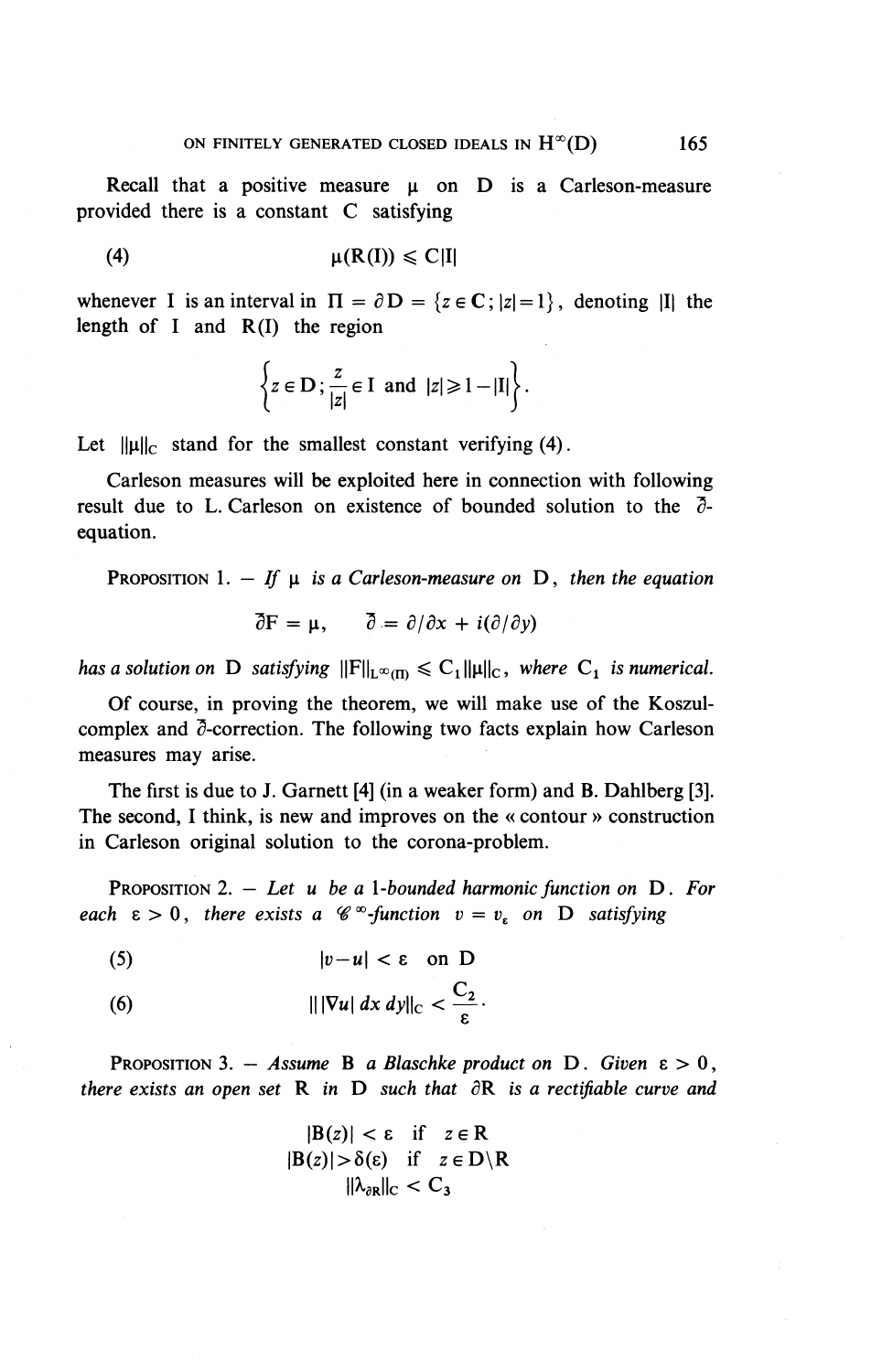Recall that a positive measure  $\mu$  on D is a Carleson-measure provided there is a constant C satisfying

(4)  $\mu(R(I)) \leq C|I|$ 

whenever I is an interval in  $\Pi = \partial D = \{z \in \mathbb{C} ; |z|=1\}$ , denoting |I| the length of I and R(I) the region

$$
\left\{z\in D\,;\frac{z}{|z|}\in I\ \text{and}\ |z|\geqslant 1-|I|\right\}.
$$

Let  $\|\mu\|_{\mathcal{C}}$  stand for the smallest constant verifying (4).

Carleson measures will be exploited here in connection with following result due to L. Carleson on existence of bounded solution to the *~S*equation.

PROPOSITION 1.  $-$  *If*  $\mu$  *is a Carleson-measure on* D, *then the equation* 

$$
\partial F = \mu
$$
,  $\partial = \partial/\partial x + i(\partial/\partial y)$ 

*has a solution on* **D** *satisfying*  $||F||_{L^{\infty}(\Pi)} \leq C_1 ||\mu||_C$ *, where*  $C_1$  *is numerical.* 

Of course, in proving the theorem, we will make use of the Koszulcomplex and  $\delta$ -correction. The following two facts explain how Carleson measures may arise.

The first is due to J. Garnett [4] (in a weaker form) and B. Dahlberg [3]. The second, I think, is new and improves on the « contour » construction in Carleson original solution to the corona-problem.

PROPOSITION 2. — *Let u be a 1-bounded harmonic function on* D. *For each*  $\varepsilon > 0$ *, there exists a*  $\mathscr{C}^{\infty}$ *-function*  $v = v_{\varepsilon}$  *on* D *satisfying* 

$$
|v-u| < \varepsilon \quad \text{on } D
$$

(6) 
$$
\|\nabla u\| \, dx \, dy\|_{\mathcal{C}} < \frac{C_2}{\varepsilon}
$$

PROPOSITION 3.  $-$  *Assume* B *a Blaschke product on* D. *Given*  $\varepsilon > 0$ , *there exists an open set*  $R$  *in*  $D$  *such that*  $\partial R$  *is a rectifiable curve and* 

$$
|B(z)| < \varepsilon \quad \text{if} \quad z \in R
$$
\n
$$
|B(z)| > \delta(\varepsilon) \quad \text{if} \quad z \in D \setminus R
$$
\n
$$
||\lambda_{\partial R}||_{C} < C_{3}
$$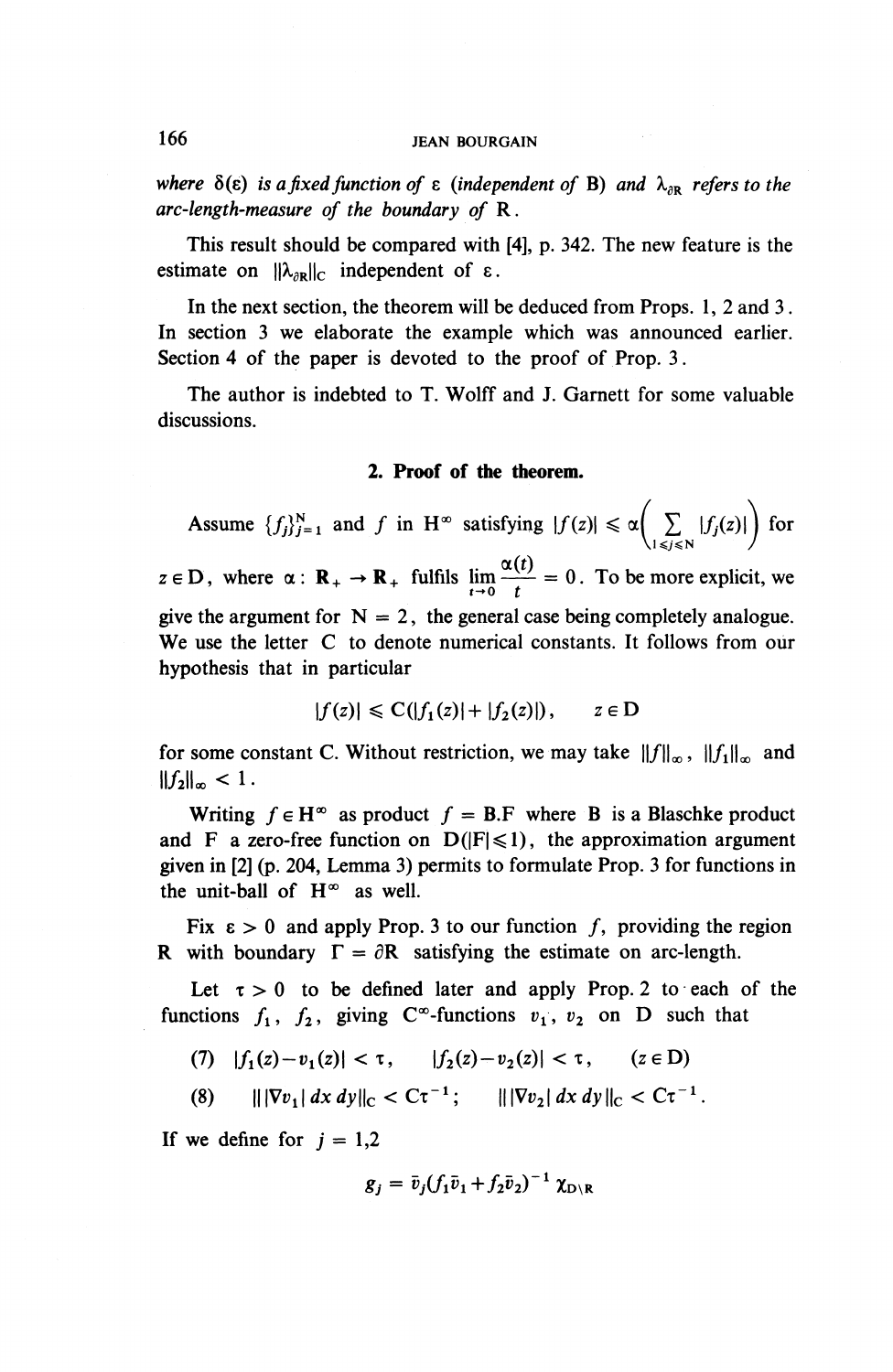*where*  $\delta(\varepsilon)$  *is a fixed function of*  $\varepsilon$  *(independent of* B) *and*  $\lambda_{\partial R}$  *refers to the arc-length-measure of the boundary of* R.

This result should be compared with [4], p. 342. The new feature is the estimate on  $\|\lambda_{\partial R}\|_C$  independent of  $\varepsilon$ .

In the next section, the theorem will be deduced from Props. 1, 2 and 3. In section 3 we elaborate the example which was announced earlier. Section 4 of the paper is devoted to the proof of Prop. 3.

The author is indebted to T. Wolff and J. Garnett for some valuable discussions.

#### **2. Proof of the theorem.**

Assume  $\{f_j\}_{j=1}^N$  and  $f$  in  $H^{\infty}$  satisfying  $|f(z)| \leq \alpha \left(\sum_{1 \leq j \leq N} |f_j(z)|\right)$  for  $z \in D$ , where  $\alpha : \mathbf{R}_+ \to \mathbf{R}_+$  fulfils  $\lim_{t \to 0} \frac{\alpha(t)}{t} = 0$ . To be more explicit, we give the argument for  $N = 2$ , the general case being completely analogue. **We** use the letter C to denote numerical constants. It follows from our hypothesis that in particular

$$
|f(z)| \leq C(|f_1(z)| + |f_2(z)|), \qquad z \in D
$$

for some constant C. Without restriction, we may take  $\|f\|_{\infty}$ ,  $\|f_1\|_{\infty}$  and  $||f_2||_{\infty} < 1$ .

Writing  $f \in H^{\infty}$  as product  $f = B.F$  where B is a Blaschke product and F a zero-free function on  $D(|F| \le 1)$ , the approximation argument given in [2] (p. 204, Lemma 3) permits to formulate Prop. 3 for functions in the unit-ball of  $H^{\infty}$  as well.

Fix  $\epsilon > 0$  and apply Prop. 3 to our function f, providing the region R with boundary  $\Gamma = \partial R$  satisfying the estimate on arc-length.

Let  $\tau > 0$  to be defined later and apply Prop. 2 to each of the functions  $f_1$ ,  $f_2$ , giving C<sup>∞</sup>-functions  $v_1$ ,  $v_2$  on D such that

 $(7)$   $|f_1(z)-v_1(z)| < \tau$ ,  $|f_2(z)-v_2(z)| < \tau$ ,  $(z \in D)$ 

(8)  $\|\nabla v_1\| \, dx \, dy\|_{\mathbb{C}} < C\tau^{-1}; \qquad \|\nabla v_2\| \, dx \, dy\|_{\mathbb{C}} < C\tau^{-1}.$ 

If we define for  $j = 1,2$ 

$$
g_j = \bar{v}_j (f_1 \bar{v}_1 + f_2 \bar{v}_2)^{-1} \chi_{D \setminus R}
$$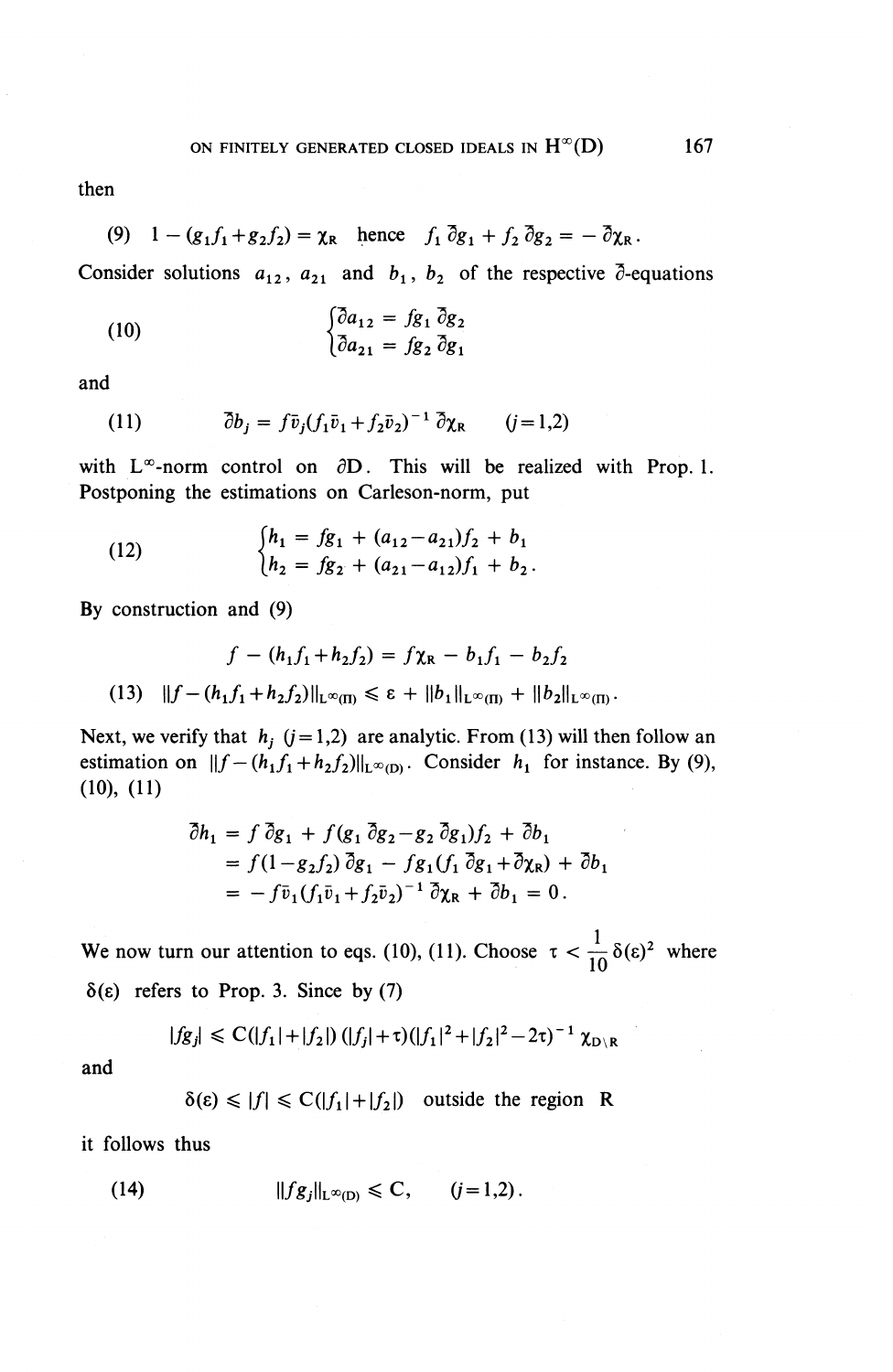then

(9) 
$$
1 - (g_1 f_1 + g_2 f_2) = \chi_R
$$
 hence  $f_1 \, \partial g_1 + f_2 \, \partial g_2 = - \partial \chi_R$ .

Consider solutions  $a_{12}$ ,  $a_{21}$  and  $b_1$ ,  $b_2$  of the respective  $\overline{\partial}$ -equations

(10) 
$$
\begin{cases} \overline{\partial} a_{12} = fg_1 \overline{\partial} g_2 \\ \overline{\partial} a_{21} = fg_2 \overline{\partial} g_1 \end{cases}
$$

and

(11) 
$$
\bar{\partial}b_j = f \bar{v}_j (f_1 \bar{v}_1 + f_2 \bar{v}_2)^{-1} \bar{\partial} \chi_R \qquad (j=1,2)
$$

with  $L^{\infty}$ -norm control on  $\partial D$ . This will be realized with Prop. 1. Postponing the estimations on Carleson-norm, put

(12) 
$$
\begin{cases} h_1 = fg_1 + (a_{12} - a_{21})f_2 + b_1 \\ h_2 = fg_2 + (a_{21} - a_{12})f_1 + b_2. \end{cases}
$$

**By** construction and (9)

$$
f - (h_1 f_1 + h_2 f_2) = f \chi_{\mathsf{R}} - b_1 f_1 - b_2 f_2
$$
  
(13) 
$$
||f - (h_1 f_1 + h_2 f_2)||_{\mathsf{L}^{\infty}(\Pi)} \leq \varepsilon + ||b_1||_{\mathsf{L}^{\infty}(\Pi)} + ||b_2||_{\mathsf{L}^{\infty}(\Pi)}.
$$

Next, we verify that  $h_j$  ( $j=1,2$ ) are analytic. From (13) will then follow an estimation on  $||f-(h_1f_1+h_2f_2)||_{L^{\infty}(D)}$ . Consider  $h_1$  for instance. By (9), (10), (11)

$$
\begin{aligned} \n\bar{\partial}h_1 &= f \, \bar{\partial}g_1 + f(g_1 \, \bar{\partial}g_2 - g_2 \, \bar{\partial}g_1) f_2 + \bar{\partial}b_1 \\ \n&= f(1 - g_2 f_2) \, \bar{\partial}g_1 - f g_1(f_1 \, \bar{\partial}g_1 + \bar{\partial}\chi_R) + \bar{\partial}b_1 \\ \n&= -f \bar{v}_1(f_1 \bar{v}_1 + f_2 \bar{v}_2)^{-1} \, \bar{\partial}\chi_R + \bar{\partial}b_1 = 0 \,. \n\end{aligned}
$$

We now turn our attention to eqs. (10), (11). Choose  $\tau < \frac{1}{10} \delta(\epsilon)^2$  where  $\delta(\varepsilon)$  refers to Prop. 3. Since by (7)

$$
|fg_j| \leq C(|f_1| + |f_2|) (|f_j| + \tau)(|f_1|^2 + |f_2|^2 - 2\tau)^{-1} \chi_{D \setminus R}
$$

and

$$
\delta(\varepsilon) \le |f| \le C(|f_1| + |f_2|) \quad \text{outside the region } R
$$

it follows thus

(14) 
$$
||fg_j||_{L^{\infty}(D)} \leq C, \qquad (j=1,2).
$$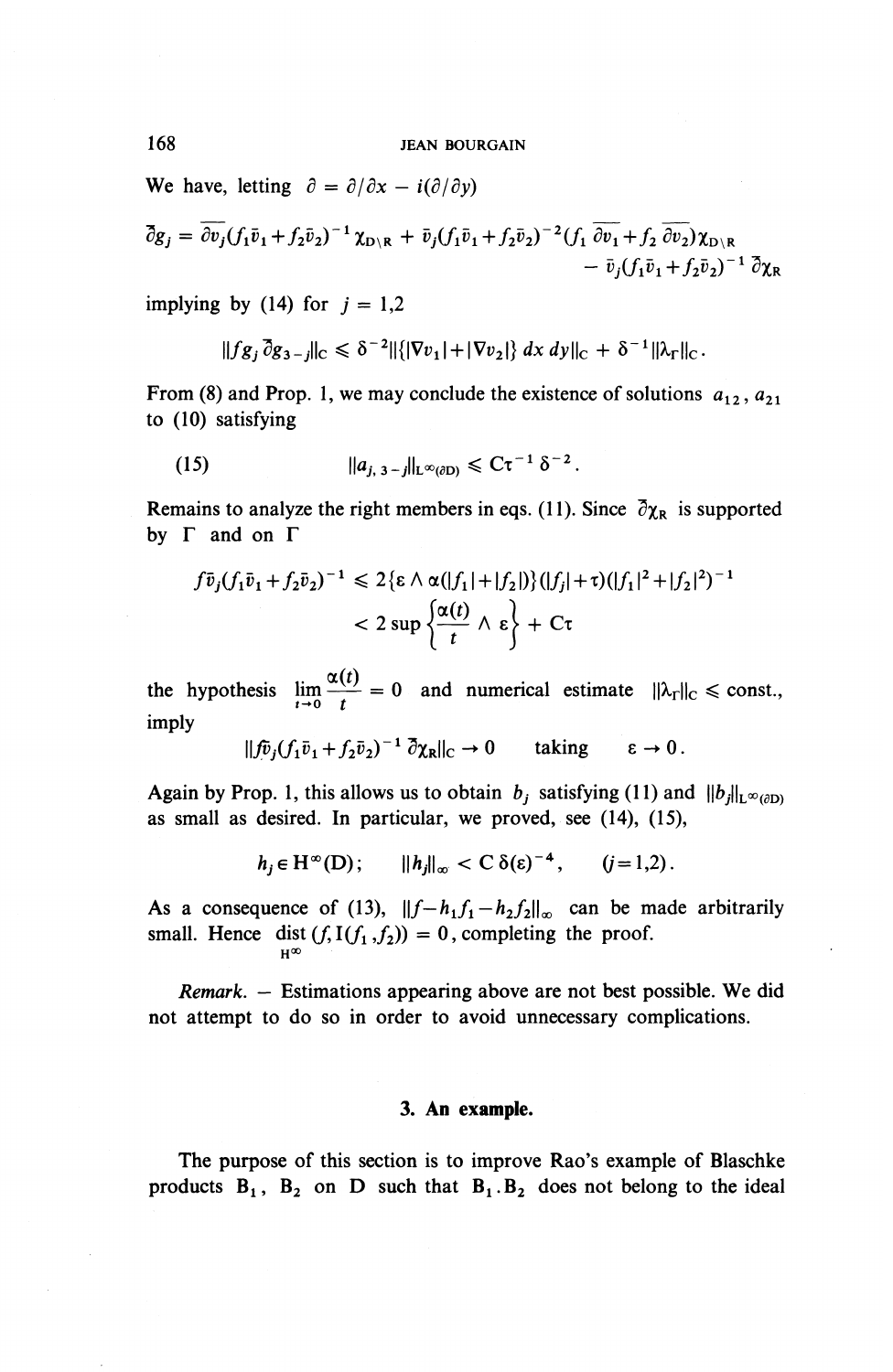We have, letting  $\partial = \partial/\partial x - i(\partial/\partial y)$ 

$$
\overline{\partial}g_j = \overline{\partial v_j}(f_1\overline{v}_1 + f_2\overline{v}_2)^{-1}\chi_{D\setminus R} + \overline{v}_j(f_1\overline{v}_1 + f_2\overline{v}_2)^{-2}(f_1\overline{\partial v_1} + f_2\overline{\partial v_2})\chi_{D\setminus R} - \overline{v}_j(f_1\overline{v}_1 + f_2\overline{v}_2)^{-1}\overline{\partial}\chi_R
$$

implying by (14) for  $j = 1,2$ 

$$
||fg_j \,\overline{\partial}g_{3-j}||_C \leq \delta^{-2} ||\{|\nabla v_1| + |\nabla v_2|\} \, dx \, dy||_C + \delta^{-1} ||\lambda_{\Gamma}||_C.
$$

From (8) and Prop. 1, we may conclude the existence of solutions  $a_{12}$ ,  $a_{21}$ to (10) satisfying

(15) 
$$
||a_{j, 3-j}||_{L^{\infty}(\partial D)} \leq C\tau^{-1} \delta^{-2}.
$$

Remains to analyze the right members in eqs. (11). Since  $\partial \chi_R$  is supported by  $\Gamma$  and on  $\Gamma$ 

$$
f\bar{v}_j(f_1\bar{v}_1+f_2\bar{v}_2)^{-1} \leq 2\{\epsilon \wedge \alpha(|f_1|+|f_2|)\}(|f_j|+\tau)(|f_1|^2+|f_2|^2)^{-1} < 2\sup\left\{\frac{\alpha(t)}{t} \wedge \epsilon\right\} + C\tau
$$

the hypothesis  $\lim_{h\to\infty} \frac{\alpha(t)}{t} = 0$  and numerical estimate  $\|\lambda_{r}\|_{c} \leq \text{const.}$ imply

 $\|\hat{v}_i (f_1\bar{v}_1+f_2\bar{v}_2)^{-1} \bar{\partial}\chi_{\mathbb{R}}\|_C \to 0$  taking  $\epsilon \to 0$ .

Again by Prop. 1, this allows us to obtain  $b_i$  satisfying (11) and  $||b_i||_{L^\infty(\partial D)}$ as small as desired. In particular, we proved, see (14), (15),

$$
h_i \in \mathrm{H}^{\infty}(\mathrm{D}); \qquad \|h_i\|_{\infty} < \mathrm{C} \, \delta(\varepsilon)^{-4}, \qquad (j=1,2).
$$

As a consequence of (13),  $||f-h_1f_1-h_2f_2||_{\infty}$  can be made arbitrarily small. Hence dist  $(f, I(f_1, f_2)) = 0$ , completing the proof.  $H^{\alpha}$ 

*Remark. —* Estimations appearing above are not best possible. **We** did not attempt to do so in order to avoid unnecessary complications.

### **3. An example.**

The purpose of this section is to improve Rao's example of Blaschke products  $B_1$ ,  $B_2$  on D such that  $B_1$ . $B_2$  does not belong to the ideal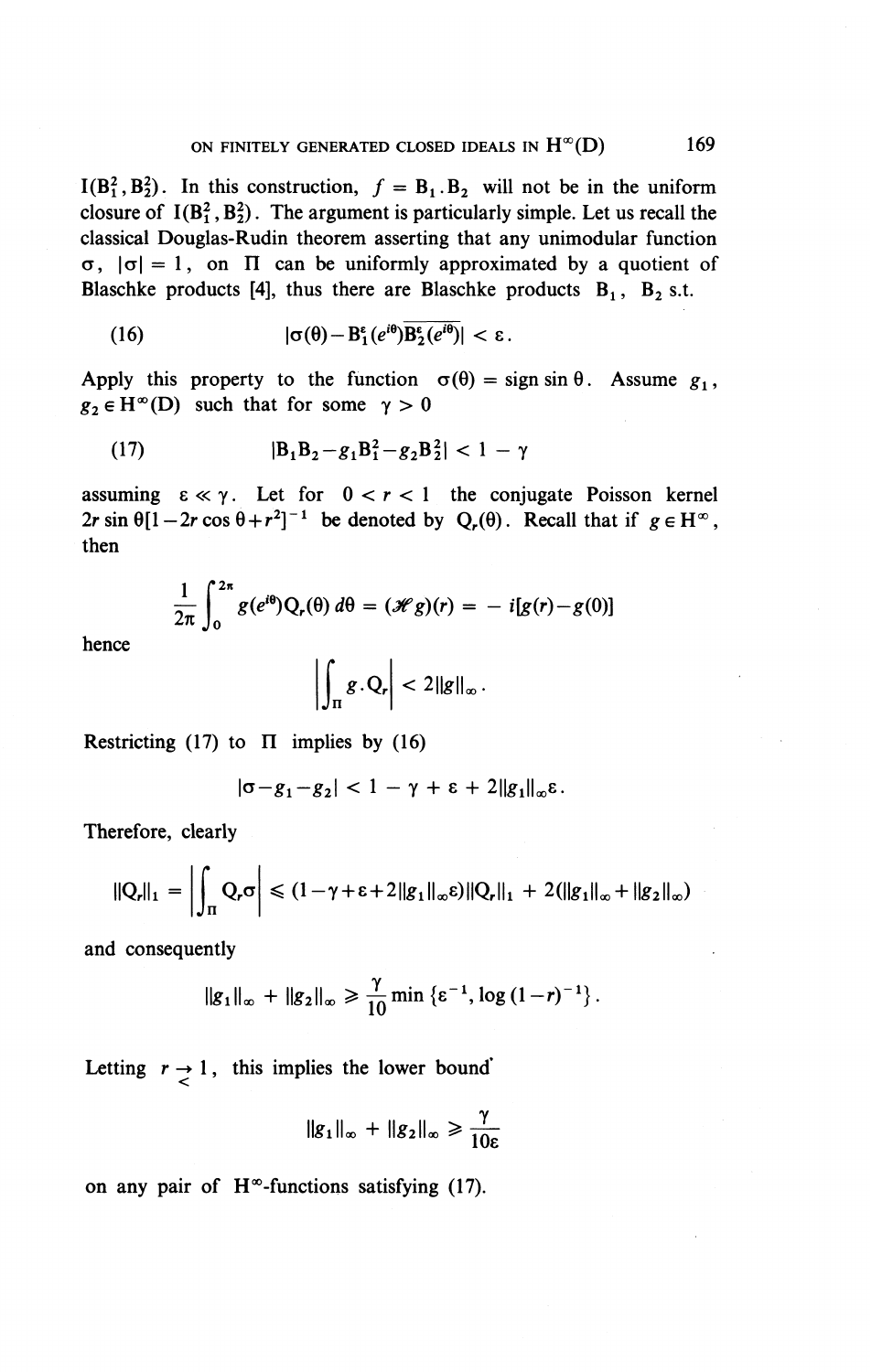$I(B_1^2, B_2^2)$ . In this construction,  $f = B_1.B_2$  will not be in the uniform closure of  $I(B_1^2, B_2^2)$ . The argument is particularly simple. Let us recall the classical Douglas-Rudin theorem asserting that any unimodular function  $\sigma$ ,  $|\sigma| = 1$ , on  $\Pi$  can be uniformly approximated by a quotient of Blaschke products [4], thus there are Blaschke products  $B_1$ ,  $B_2$  s.t.

(16) 
$$
|\sigma(\theta)-B_1^{\varepsilon}(e^{i\theta})\overline{B_2^{\varepsilon}(e^{i\theta})}|<\varepsilon.
$$

Apply this property to the function  $\sigma(\theta) = \text{sign} \sin \theta$ . Assume  $g_1$ ,  $g_2 \in H^{\infty}(D)$  such that for some  $\gamma > 0$ 

(17) 
$$
|\mathbf{B}_1 \mathbf{B}_2 - g_1 \mathbf{B}_1^2 - g_2 \mathbf{B}_2^2| < 1 - \gamma
$$

assuming  $\varepsilon \ll \gamma$ . Let for  $0 < r < 1$  the conjugate Poisson kernel assuming  $\epsilon \ll \gamma$ . Let for  $0 < r < 1$  the conjugate Poisson kernel  $2r \sin \theta [1 - 2r \cos \theta + r^2]^{-1}$  be denoted by  $Q_r(\theta)$ . Recall that if  $g \in H^{\infty}$ , then

$$
\frac{1}{2\pi}\int_0^{2\pi}g(e^{i\theta})Q_r(\theta)\,d\theta=(\mathscr{H}g)(r)=-i[g(r)-g(0)]
$$

hence

$$
\left|\int_{\Pi} g\cdot Q_r\right|<2\|g\|_{\infty}.
$$

Restricting (17) to  $\Pi$  implies by (16)

$$
|\sigma - g_1 - g_2| < 1 - \gamma + \epsilon + 2\|g_1\|_{\infty} \epsilon.
$$

Therefore, clearly

$$
\|Q_r\|_1 = \left|\int_{\Pi} Q_r \sigma\right| \leq (1 - \gamma + \epsilon + 2\|g_1\|_{\infty} \epsilon) \|Q_r\|_1 + 2(\|g_1\|_{\infty} + \|g_2\|_{\infty})
$$

and consequently

$$
\|g_1\|_{\infty} + \|g_2\|_{\infty} \geq \frac{\gamma}{10} \min \left\{ \varepsilon^{-1}, \log (1-r)^{-1} \right\}.
$$

Letting  $r \rightarrow 1$ , this implies the lower bound<sup>\*</sup>

$$
||g_1||_{\infty} + ||g_2||_{\infty} \ge \frac{\gamma}{10\epsilon}
$$

on any pair of  $H^{\infty}$ -functions satisfying (17).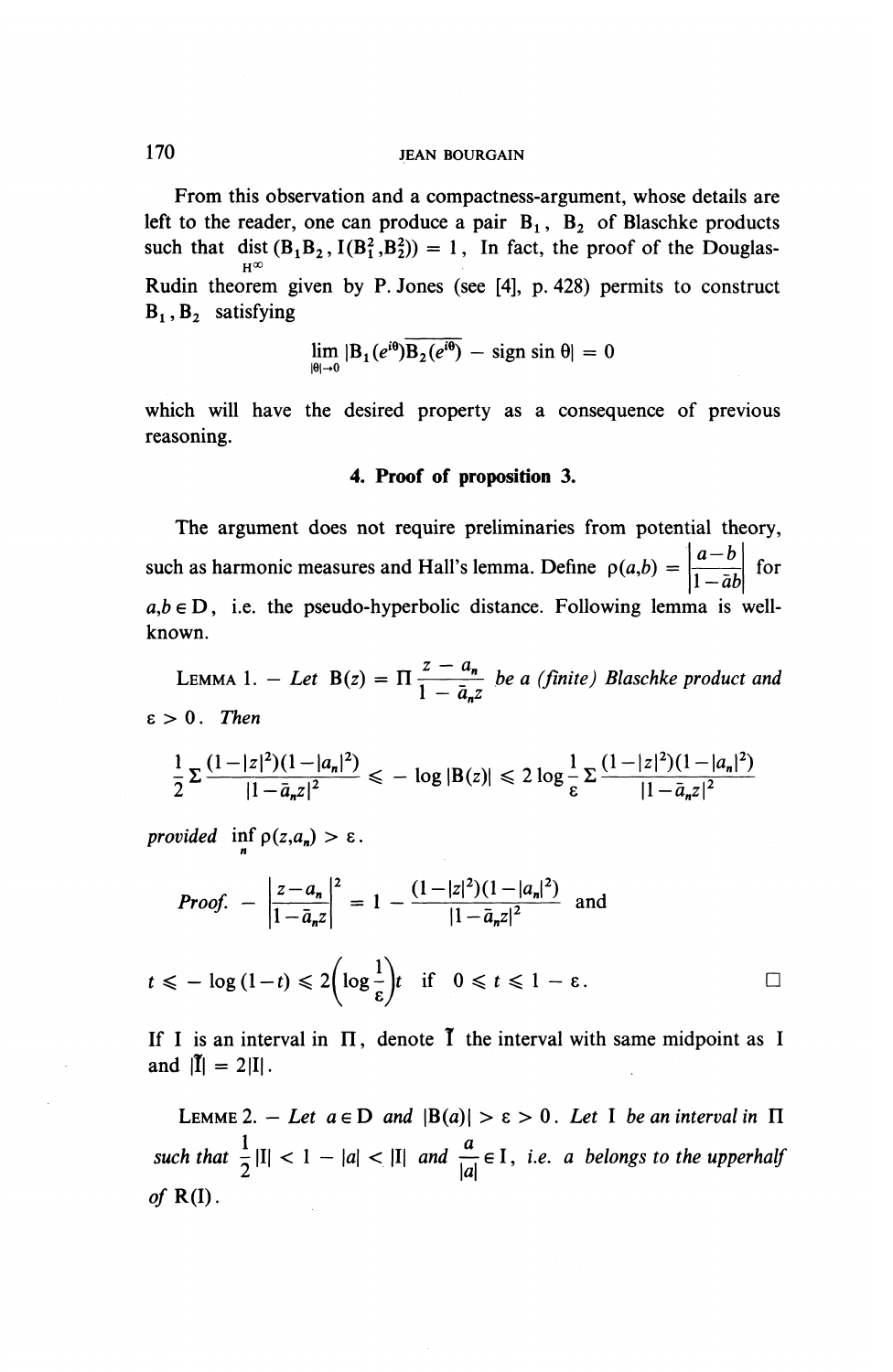From this observation and a compactness-argument, whose details are left to the reader, one can produce a pair  $B_1$ ,  $B_2$  of Blaschke products such that dist  $(B_1B_2, I(B_1^2, B_2^2)) = 1$ , In fact, the proof of the Douglas-Rudin theorem given by P. Jones (see [4], p. 428) permits to construct  $B_1$ ,  $B_2$  satisfying

$$
\lim_{|\theta| \to 0} |B_1(e^{i\theta}) \overline{B_2(e^{i\theta})} - \text{sign} \sin \theta| = 0
$$

which will have the desired property as a consequence of previous reasoning.

### **4. Proof of proposition 3.**

The argument does not require preliminaries from potential theory, such as harmonic measures and Hall's lemma. Define  $p(a,b) = \begin{vmatrix} a-b \\ c \end{vmatrix}$  for  $\sqrt{1-\bar{a}b}$  $a,b \in D$ , i.e. the pseudo-hyperbolic distance. Following lemma is wellknown.

LEMMA 1. - Let  $B(z) = \Pi \frac{z - \mu}{1-z}$  $\frac{z - a_n}{1 - \bar{a}_n z}$  be a *(finite)* Blaschke product and  $\varepsilon > 0$ . Then

$$
\frac{1}{2}\sum_{i=1}^{n} \frac{(1-|z|^2)(1-|a_n|^2)}{|1-\bar{a}_n z|^2} \leq -\log|B(z)| \leq 2\log\frac{1}{\epsilon}\sum_{i=1}^{n} \frac{(1-|z|^2)(1-|a_n|^2)}{|1-\bar{a}_n z|^2}
$$

provided 
$$
\inf_{n} \rho(z, a_n) > \varepsilon
$$
.  
\n*Proof.* 
$$
-\left|\frac{z-a_n}{1-\bar{a}_n z}\right|^2 = 1 - \frac{(1-|z|^2)(1-|a_n|^2)}{|1-\bar{a}_n z|^2} \text{ and }
$$

 $t \leq -\log(1-t) \leq 2\left(\log\frac{1}{\epsilon}\right)t$  if  $0 \leq t \leq 1-\epsilon$ .

If I is an interval in  $\Pi$ , denote  $\tilde{I}$  the interval with same midpoint as I and  $|\mathbf{\tilde{I}}| = 2|\mathbf{I}|$ .

LEMME 2. - Let  $a \in D$  and  $|B(a)| > \varepsilon > 0$ . Let I be an interval in  $\Pi$ *such that*  $\frac{1}{2}$   $|I|$  < 1 -  $|a|$  <  $|I|$  *and*  $\frac{a}{|a|} \in I$ , *i.e. a belongs to the upperhalf* of  $R(I)$ .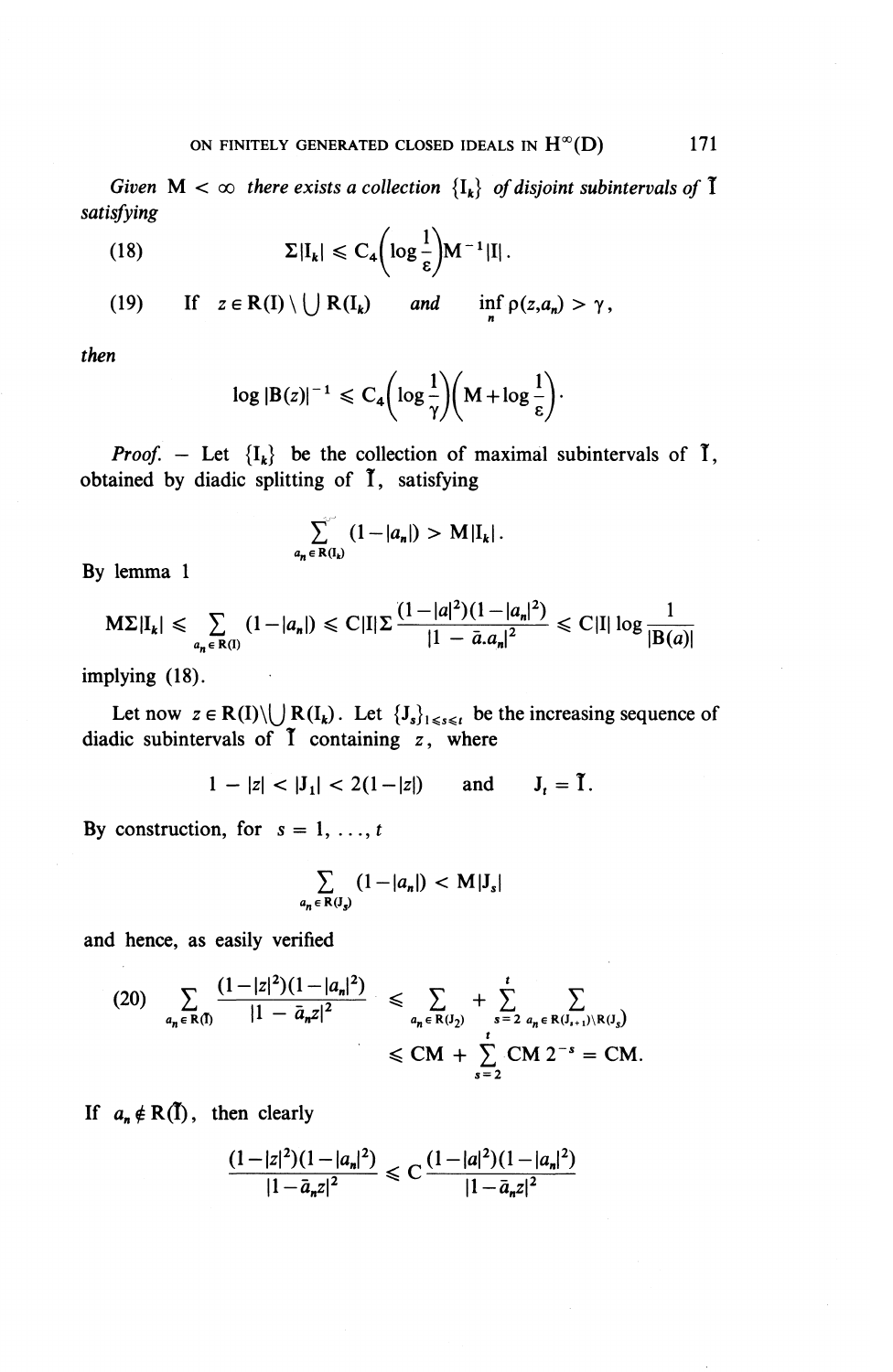*Given*  $M < \infty$  *there exists a collection*  ${I_k}$  *of disjoint subintervals of*  $\tilde{I}$ *satisfying*

(18) 
$$
\Sigma |I_k| \leqslant C_4 \bigg( \log \frac{1}{\epsilon} \bigg) M^{-1} |I| \, .
$$

(19) If  $z \in R(I) \setminus \bigcup R(I_k)$  and inf  $\rho(z,a_n) > \gamma$ ,

*then*

$$
\log |B(z)|^{-1} \leq C_4 \bigg(\log \frac{1}{\gamma}\bigg)\bigg(M + \log \frac{1}{\epsilon}\bigg).
$$

*Proof.* – Let  ${I_k}$  be the collection of maximal subintervals of  $\tilde{I}$ , obtained by diadic splitting of T, satisfying

$$
\sum_{a_n\in R(I_k)}^{n} (1-|a_n|) > M|I_k|.
$$

By lemma 1

$$
M\Sigma|I_k| \leq \sum_{a_n \in R(I)} (1-|a_n|) \leq C|I|\Sigma \frac{(1-|a|^2)(1-|a_n|^2)}{|1-\bar{a}.a_n|^2} \leq C|I| \log \frac{1}{|B(a)|}
$$

implying (18).

Let now  $z \in R(I) \setminus (R(I_k))$ . Let  $\{J_s\}_{1 \leq s \leq t}$  be the increasing sequence of diadic subintervals of  $\tilde{I}$  containing z, where

$$
1 - |z| < |J_1| < 2(1 - |z|) \quad \text{and} \quad J_t = \tilde{I}.
$$

By construction, for  $s = 1, \ldots, t$ 

$$
\sum_{a_n \in R(J_s)} (1-|a_n|) < M|J_s|
$$

and hence, as easily verified

$$
\sum_{a_n \in R(J_s)} (1 - |a_n|) < M |J_s|
$$
\n
$$
\text{hence, as easily verified}
$$
\n
$$
(20) \sum_{a_n \in R(I)} \frac{(1 - |z|^2)(1 - |a_n|^2)}{|1 - \bar{a}_n z|^2} \leq \sum_{a_n \in R(J_2)} + \sum_{s=2}^t \sum_{a_n \in R(J_{s+1}) \setminus R(J_s)} \sum_{s=2}^t M \sum_{s=2}^s \mathbb{C} M \geq s \quad \text{and} \quad \sum_{s=2}^t M \geq 0
$$

If  $a_n \notin R(\tilde{I})$ , then clearly

$$
\frac{(1-|z|^2)(1-|a_n|^2)}{|1-\bar{a}_n z|^2} \leq C \frac{(1-|a|^2)(1-|a_n|^2)}{|1-\bar{a}_n z|^2}
$$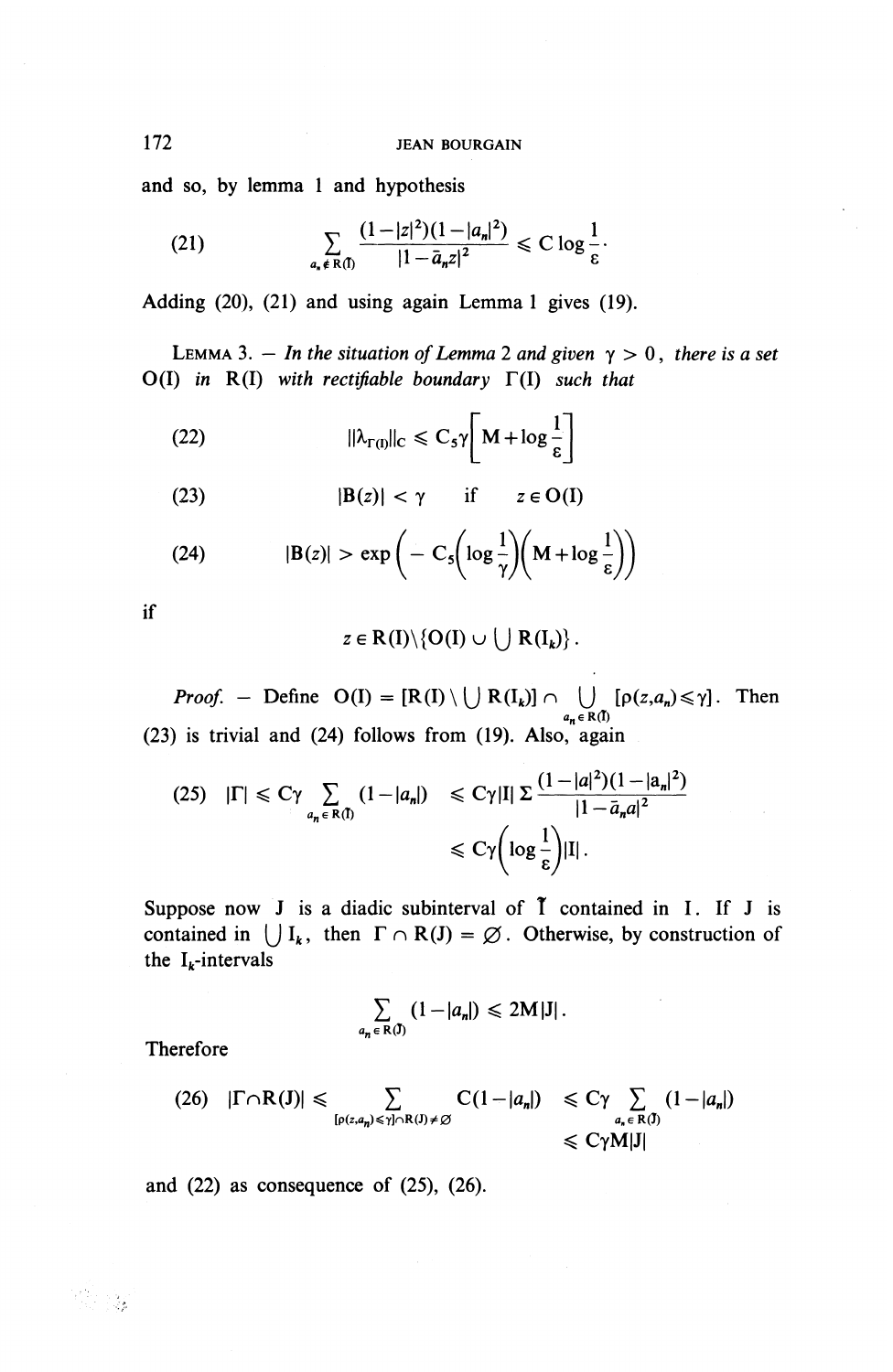and so, by lemma 1 and hypothesis

(21) 
$$
\sum_{a_n \in R(\mathfrak{h})} \frac{(1-|z|^2)(1-|a_n|^2)}{|1-\bar{a}_n z|^2} \leq C \log \frac{1}{\epsilon}.
$$

Adding (20), (21) and using again Lemma 1 gives (19).

LEMMA 3.  $-$  *In the situation of Lemma* 2 *and given*  $\gamma > 0$ *, there is a set* 0(1) *in* R(I) *with rectifiable boundary* F(I) *such that*

(22) 
$$
||\lambda_{\Gamma(1)}||_{C} \leq C_{5}\gamma \bigg[M + \log \frac{1}{\epsilon}\bigg]
$$

(23) 
$$
|B(z)| < \gamma \quad \text{if} \quad z \in O(I)
$$

(24) 
$$
|\mathbf{B}(z)| > \exp\left(-C_5\left(\log\frac{1}{\gamma}\right)\left(M + \log\frac{1}{\epsilon}\right)\right)
$$

if

$$
z\in \mathbf{R}(\mathbf{I})\backslash\{\mathbf{O}(\mathbf{I})\cup\bigcup \mathbf{R}(\mathbf{I}_k)\}.
$$

*Proof.* – Define  $O(I) = [R(I) \setminus \bigcup R(I_k)] \cap \bigcup_{a_n \in R(I)} [p(z, a_n) \le \gamma]$ . Then (23) is trivial and (24) follows from (19). Also, again

$$
(25) \quad |\Gamma| \leq C\gamma \sum_{a_n \in R(\mathbb{I})} (1 - |a_n|) \leq C\gamma |\mathbf{I}| \sum \frac{(1 - |a|^2)(1 - |a_n|^2)}{|1 - \bar{a}_n a|^2} \leq C\gamma \left( \log \frac{1}{\epsilon} \right) |\mathbf{I}|.
$$

Suppose now J is a diadic subinterval of  $\tilde{I}$  contained in I. If J is contained in  $\bigcup I_k$ , then  $\Gamma \cap R(J) = \emptyset$ . Otherwise, by construction of the  $I_k$ -intervals

$$
\sum_{a_n \in R(\mathbf{I})} (1-|a_n|) \leq 2M|\mathbf{J}|.
$$

Therefore

 $\mathbb{R}^2 \rightarrow \mathbb{R}$ 

$$
(26) \quad |\Gamma \cap R(J)| \leq \sum_{[p(z,a_n)\leq \gamma] \cap R(J) \neq \emptyset} C(1-|a_n|) \leq C\gamma \sum_{\substack{a_n \in R(J) \\ \leq C\gamma} M|J|} (1-|a_n|)
$$

and  $(22)$  as consequence of  $(25)$ ,  $(26)$ .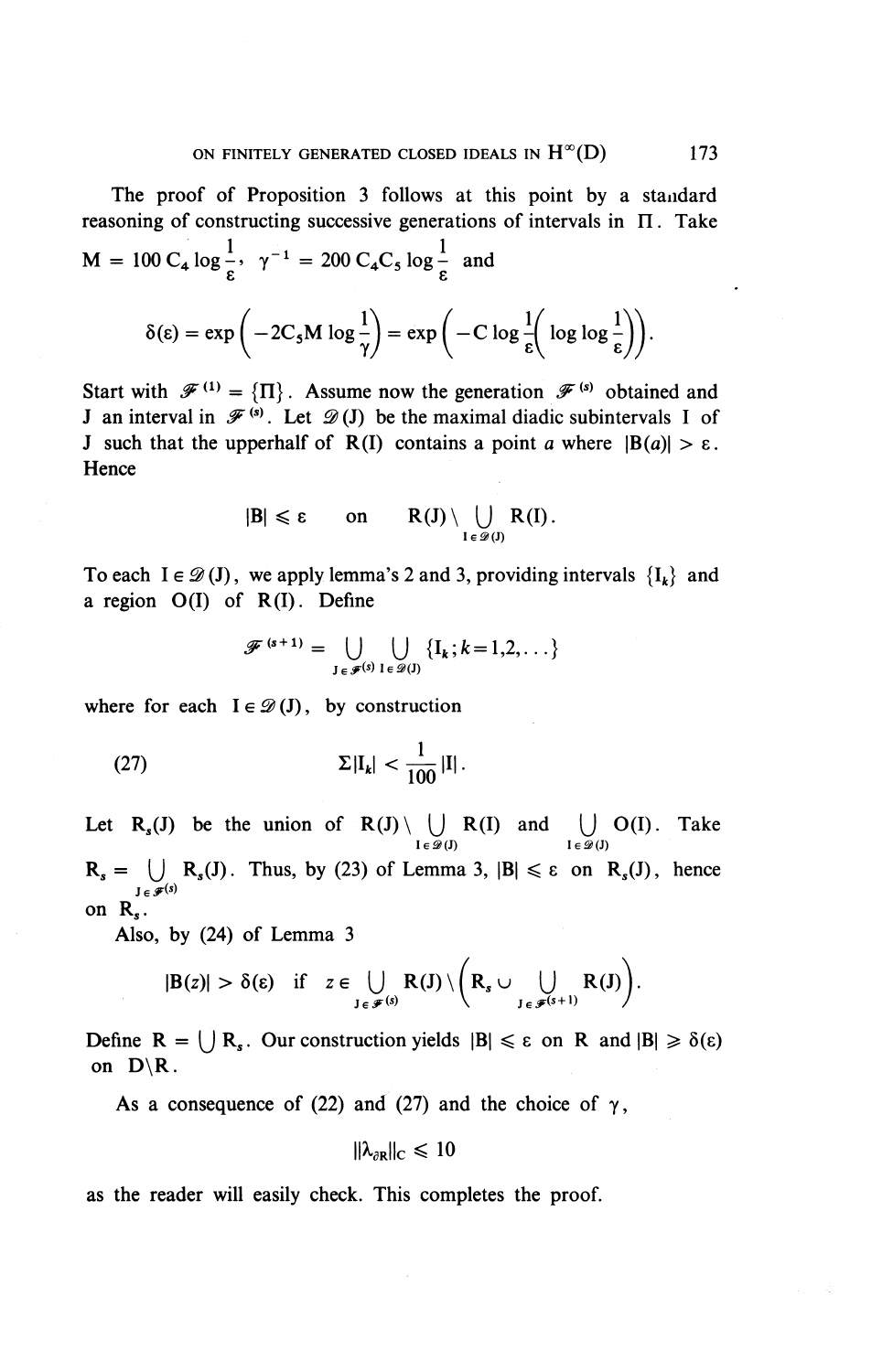The proof of Proposition 3 follows at this point by a standard reasoning of constructing successive generations of intervals in  $\Pi$ . Take  $M = 100 C_4 \log \frac{1}{\epsilon}, \gamma^{-1} = 200 C_4 C_5 \log \frac{1}{\epsilon}$  and

$$
\delta(\epsilon) = \exp\left(-2C_5 M \log \frac{1}{\gamma}\right) = \exp\left(-C \log \frac{1}{\epsilon} \left(\log \log \frac{1}{\epsilon}\right)\right).
$$

Start with  $\mathscr{F}^{(1)} = \{\Pi\}$ . Assume now the generation  $\mathscr{F}^{(s)}$  obtained and J an interval in  $\mathcal{F}^{(s)}$ . Let  $\mathcal{D}(J)$  be the maximal diadic subintervals I of J such that the upperhalf of R(I) contains a point a where  $|B(a)| > \varepsilon$ . **Hence** 

$$
|B|\leqslant \epsilon \qquad \text{on} \qquad R(J)\setminus \bigcup_{I\,\in\,\mathscr{D}(J)} R(I)\,.
$$

To each  $I \in \mathcal{D}(J)$ , we apply lemma's 2 and 3, providing intervals  $\{I_k\}$  and a region  $O(I)$  of  $R(I)$ . Define

$$
\mathscr{F}^{(s+1)} = \bigcup_{\mathbf{J} \in \mathscr{F}^{(s)}} \bigcup_{\mathbf{I} \in \mathscr{D}^{(J)}} \{ \mathbf{I}_k \, ; \, k = 1, 2, \dots \}
$$

where for each  $I \in \mathcal{D}(J)$ , by construction

(27) 
$$
\Sigma |I_k| < \frac{1}{100} |I|.
$$

Let  $R_s(J)$  be the union of  $R(J) \setminus \bigcup_{I \in \mathscr{D}(J)} R(I)$  and  $\bigcup_{I \in \mathscr{D}(J)} O(I)$ . Take **R<sub>s</sub>** =  $\bigcup_{\alpha} R_s(J)$ . Thus, by (23) of Lemma 3,  $|B| \le \varepsilon$  on  $R_s(J)$ , hence  $J \in \mathcal{F}^{(s)}$ on **R,.**

Also, by (24) of Lemma 3

$$
|B(z)| > \delta(\epsilon) \quad \text{if} \quad z \in \bigcup_{J \in \mathscr{F}^{(s)}} R(J) \setminus \left( R_s \cup \bigcup_{J \in \mathscr{F}^{(s+1)}} R(J) \right).
$$

Define  $R = |R_s|$ . Our construction yields  $|B| \le \varepsilon$  on R and  $|B| \ge \delta(\varepsilon)$ on  $D \backslash R$ .

As a consequence of  $(22)$  and  $(27)$  and the choice of  $\gamma$ ,

$$
\|\lambda_{\partial R}\|_C\leqslant 10
$$

as the reader will easily check. This completes the proof.